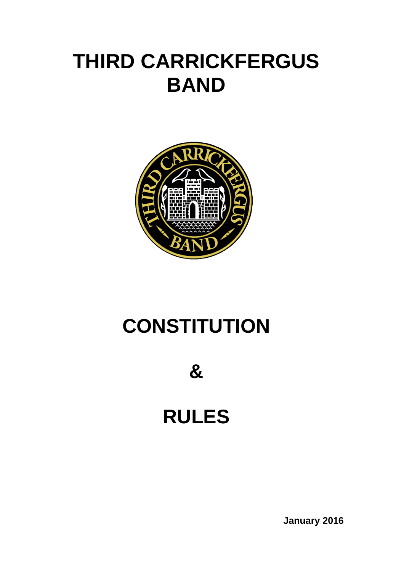# **THIRD CARRICKFERGUS BAND**



# **CONSTITUTION**

**&**

# **RULES**

**January 2016**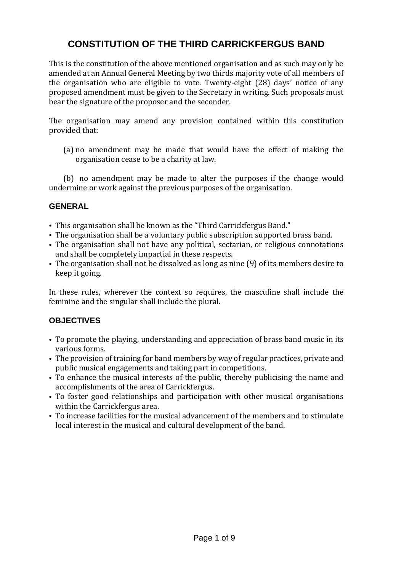# **CONSTITUTION OF THE THIRD CARRICKFERGUS BAND**

This is the constitution of the above mentioned organisation and as such may only be amended at an Annual General Meeting by two thirds majority vote of all members of the organisation who are eligible to vote. Twenty-eight (28) days' notice of any proposed amendment must be given to the Secretary in writing. Such proposals must bear the signature of the proposer and the seconder.

The organisation may amend any provision contained within this constitution provided that:

(a) no amendment may be made that would have the effect of making the organisation cease to be a charity at law.

(b) no amendment may be made to alter the purposes if the change would undermine or work against the previous purposes of the organisation.

# **GENERAL**

- This organisation shall be known as the "Third Carrickfergus Band."
- The organisation shall be a voluntary public subscription supported brass band.
- The organisation shall not have any political, sectarian, or religious connotations and shall be completely impartial in these respects.
- The organisation shall not be dissolved as long as nine (9) of its members desire to keep it going.

In these rules, wherever the context so requires, the masculine shall include the feminine and the singular shall include the plural.

# **OBJECTIVES**

- To promote the playing, understanding and appreciation of brass band music in its various forms.
- The provision of training for band members by way of regular practices, private and public musical engagements and taking part in competitions.
- To enhance the musical interests of the public, thereby publicising the name and accomplishments of the area of Carrickfergus.
- To foster good relationships and participation with other musical organisations within the Carrickfergus area.
- To increase facilities for the musical advancement of the members and to stimulate local interest in the musical and cultural development of the band.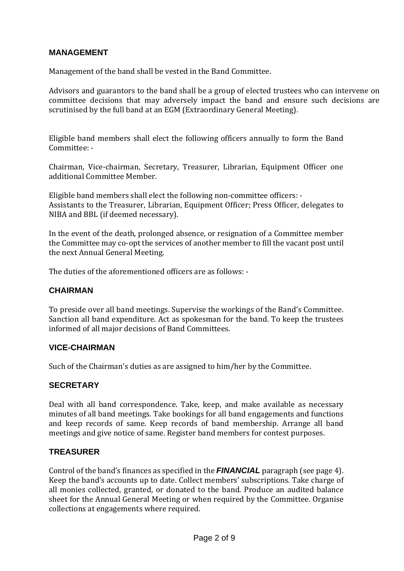# **MANAGEMENT**

Management of the band shall be vested in the Band Committee.

Advisors and guarantors to the band shall be a group of elected trustees who can intervene on committee decisions that may adversely impact the band and ensure such decisions are scrutinised by the full band at an EGM (Extraordinary General Meeting).

Eligible band members shall elect the following officers annually to form the Band Committee: -

Chairman, Vice-chairman, Secretary, Treasurer, Librarian, Equipment Officer one additional Committee Member.

Eligible band members shall elect the following non-committee officers: - Assistants to the Treasurer, Librarian, Equipment Officer; Press Officer, delegates to NIBA and BBL (if deemed necessary).

In the event of the death, prolonged absence, or resignation of a Committee member the Committee may co-opt the services of another member to fill the vacant post until the next Annual General Meeting.

The duties of the aforementioned officers are as follows: -

#### **CHAIRMAN**

To preside over all band meetings. Supervise the workings of the Band's Committee. Sanction all band expenditure. Act as spokesman for the band. To keep the trustees informed of all major decisions of Band Committees.

#### **VICE-CHAIRMAN**

Such of the Chairman's duties as are assigned to him/her by the Committee.

#### **SECRETARY**

Deal with all band correspondence. Take, keep, and make available as necessary minutes of all band meetings. Take bookings for all band engagements and functions and keep records of same. Keep records of band membership. Arrange all band meetings and give notice of same. Register band members for contest purposes.

#### **TREASURER**

Control of the band's finances as specified in the *FINANCIAL* paragraph (see page 4). Keep the band's accounts up to date. Collect members' subscriptions. Take charge of all monies collected, granted, or donated to the band. Produce an audited balance sheet for the Annual General Meeting or when required by the Committee. Organise collections at engagements where required.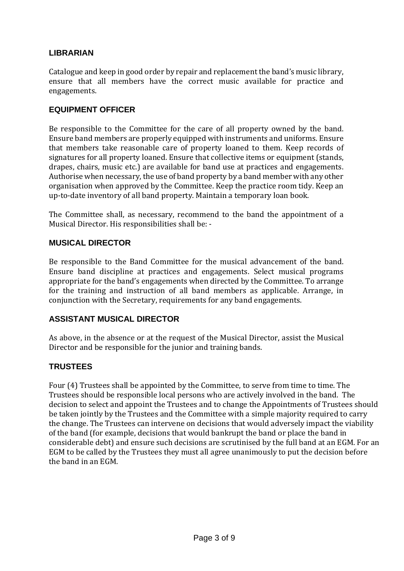# **LIBRARIAN**

Catalogue and keep in good order by repair and replacement the band's music library, ensure that all members have the correct music available for practice and engagements.

## **EQUIPMENT OFFICER**

Be responsible to the Committee for the care of all property owned by the band. Ensure band members are properly equipped with instruments and uniforms. Ensure that members take reasonable care of property loaned to them. Keep records of signatures for all property loaned. Ensure that collective items or equipment (stands, drapes, chairs, music etc.) are available for band use at practices and engagements. Authorise when necessary, the use of band property by a band member with any other organisation when approved by the Committee. Keep the practice room tidy. Keep an up-to-date inventory of all band property. Maintain a temporary loan book.

The Committee shall, as necessary, recommend to the band the appointment of a Musical Director. His responsibilities shall be: -

#### **MUSICAL DIRECTOR**

Be responsible to the Band Committee for the musical advancement of the band. Ensure band discipline at practices and engagements. Select musical programs appropriate for the band's engagements when directed by the Committee. To arrange for the training and instruction of all band members as applicable. Arrange, in conjunction with the Secretary, requirements for any band engagements.

# **ASSISTANT MUSICAL DIRECTOR**

As above, in the absence or at the request of the Musical Director, assist the Musical Director and be responsible for the junior and training bands.

# **TRUSTEES**

Four (4) Trustees shall be appointed by the Committee, to serve from time to time. The Trustees should be responsible local persons who are actively involved in the band. The decision to select and appoint the Trustees and to change the Appointments of Trustees should be taken jointly by the Trustees and the Committee with a simple majority required to carry the change. The Trustees can intervene on decisions that would adversely impact the viability of the band (for example, decisions that would bankrupt the band or place the band in considerable debt) and ensure such decisions are scrutinised by the full band at an EGM. For an EGM to be called by the Trustees they must all agree unanimously to put the decision before the band in an EGM.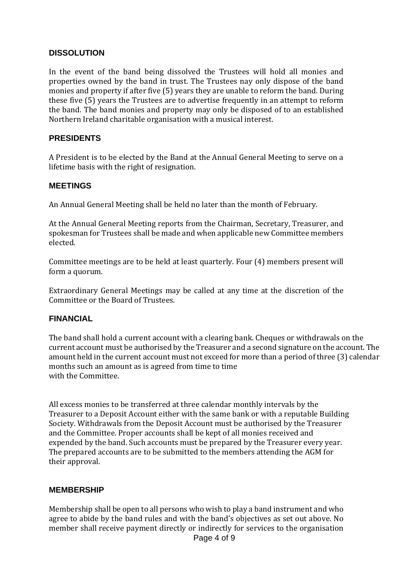# **DISSOLUTION**

In the event of the band being dissolved the Trustees will hold all monies and properties owned by the band in trust. The Trustees nay only dispose of the band monies and property if after five (5) years they are unable to reform the band. During these five (5) years the Trustees are to advertise frequently in an attempt to reform the band. The band monies and property may only be disposed of to an established Northern Ireland charitable organisation with a musical interest.

# **PRESIDENTS**

A President is to be elected by the Band at the Annual General Meeting to serve on a lifetime basis with the right of resignation.

#### **MEETINGS**

An Annual General Meeting shall be held no later than the month of February.

At the Annual General Meeting reports from the Chairman, Secretary, Treasurer, and spokesman for Trustees shall be made and when applicable new Committee members elected.

Committee meetings are to be held at least quarterly. Four (4) members present will form a quorum.

Extraordinary General Meetings may be called at any time at the discretion of the Committee or the Board of Trustees.

#### **FINANCIAL**

The band shall hold a current account with a clearing bank. Cheques or withdrawals on the current account must be authorised by the Treasurer and a second signature on the account. The amount held in the current account must not exceed for more than a period of three (3) calendar months such an amount as is agreed from time to time with the Committee.

All excess monies to be transferred at three calendar monthly intervals by the Treasurer to a Deposit Account either with the same bank or with a reputable Building Society. Withdrawals from the Deposit Account must be authorised by the Treasurer and the Committee. Proper accounts shall be kept of all monies received and expended by the band. Such accounts must be prepared by the Treasurer every year. The prepared accounts are to be submitted to the members attending the AGM for their approval.

#### **MEMBERSHIP**

Membership shall be open to all persons who wish to play a band instrument and who agree to abide by the band rules and with the band's objectives as set out above. No member shall receive payment directly or indirectly for services to the organisation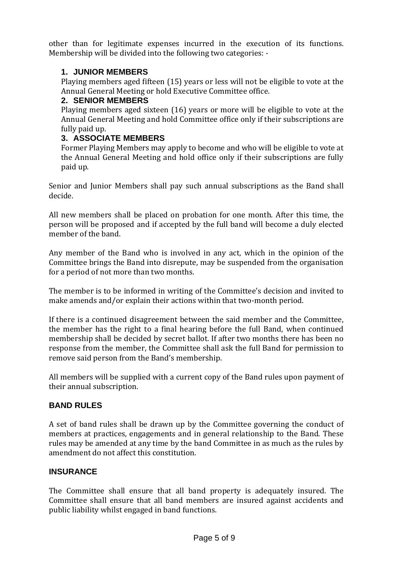other than for legitimate expenses incurred in the execution of its functions. Membership will be divided into the following two categories: -

# **1. JUNIOR MEMBERS**

Playing members aged fifteen (15) years or less will not be eligible to vote at the Annual General Meeting or hold Executive Committee office.

## **2. SENIOR MEMBERS**

Playing members aged sixteen (16) years or more will be eligible to vote at the Annual General Meeting and hold Committee office only if their subscriptions are fully paid up.

# **3. ASSOCIATE MEMBERS**

Former Playing Members may apply to become and who will be eligible to vote at the Annual General Meeting and hold office only if their subscriptions are fully paid up.

Senior and Junior Members shall pay such annual subscriptions as the Band shall decide.

All new members shall be placed on probation for one month. After this time, the person will be proposed and if accepted by the full band will become a duly elected member of the band.

Any member of the Band who is involved in any act, which in the opinion of the Committee brings the Band into disrepute, may be suspended from the organisation for a period of not more than two months.

The member is to be informed in writing of the Committee's decision and invited to make amends and/or explain their actions within that two-month period.

If there is a continued disagreement between the said member and the Committee, the member has the right to a final hearing before the full Band, when continued membership shall be decided by secret ballot. If after two months there has been no response from the member, the Committee shall ask the full Band for permission to remove said person from the Band's membership.

All members will be supplied with a current copy of the Band rules upon payment of their annual subscription.

# **BAND RULES**

A set of band rules shall be drawn up by the Committee governing the conduct of members at practices, engagements and in general relationship to the Band. These rules may be amended at any time by the band Committee in as much as the rules by amendment do not affect this constitution.

# **INSURANCE**

The Committee shall ensure that all band property is adequately insured. The Committee shall ensure that all band members are insured against accidents and public liability whilst engaged in band functions.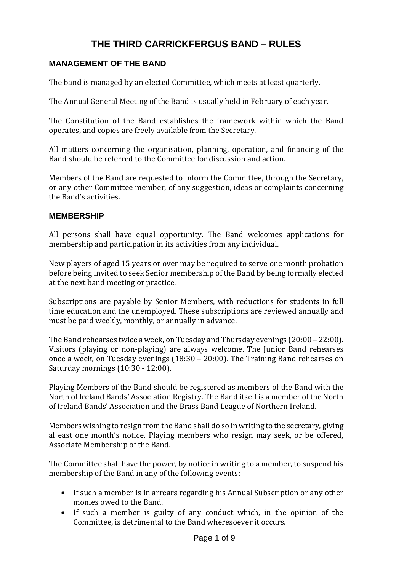# **THE THIRD CARRICKFERGUS BAND – RULES**

# **MANAGEMENT OF THE BAND**

The band is managed by an elected Committee, which meets at least quarterly.

The Annual General Meeting of the Band is usually held in February of each year.

The Constitution of the Band establishes the framework within which the Band operates, and copies are freely available from the Secretary.

All matters concerning the organisation, planning, operation, and financing of the Band should be referred to the Committee for discussion and action.

Members of the Band are requested to inform the Committee, through the Secretary, or any other Committee member, of any suggestion, ideas or complaints concerning the Band's activities.

#### **MEMBERSHIP**

All persons shall have equal opportunity. The Band welcomes applications for membership and participation in its activities from any individual.

New players of aged 15 years or over may be required to serve one month probation before being invited to seek Senior membership of the Band by being formally elected at the next band meeting or practice.

Subscriptions are payable by Senior Members, with reductions for students in full time education and the unemployed. These subscriptions are reviewed annually and must be paid weekly, monthly, or annually in advance.

The Band rehearses twice a week, on Tuesday and Thursday evenings (20:00 – 22:00). Visitors (playing or non-playing) are always welcome. The Junior Band rehearses once a week, on Tuesday evenings (18:30 – 20:00). The Training Band rehearses on Saturday mornings (10:30 - 12:00).

Playing Members of the Band should be registered as members of the Band with the North of Ireland Bands' Association Registry. The Band itself is a member of the North of Ireland Bands' Association and the Brass Band League of Northern Ireland.

Members wishing to resign from the Band shall do so in writing to the secretary, giving al east one month's notice. Playing members who resign may seek, or be offered, Associate Membership of the Band.

The Committee shall have the power, by notice in writing to a member, to suspend his membership of the Band in any of the following events:

- If such a member is in arrears regarding his Annual Subscription or any other monies owed to the Band.
- If such a member is guilty of any conduct which, in the opinion of the Committee, is detrimental to the Band wheresoever it occurs.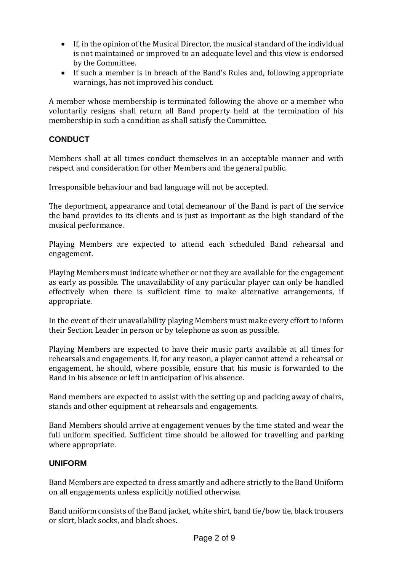- If, in the opinion of the Musical Director, the musical standard of the individual is not maintained or improved to an adequate level and this view is endorsed by the Committee.
- If such a member is in breach of the Band's Rules and, following appropriate warnings, has not improved his conduct.

A member whose membership is terminated following the above or a member who voluntarily resigns shall return all Band property held at the termination of his membership in such a condition as shall satisfy the Committee.

# **CONDUCT**

Members shall at all times conduct themselves in an acceptable manner and with respect and consideration for other Members and the general public.

Irresponsible behaviour and bad language will not be accepted.

The deportment, appearance and total demeanour of the Band is part of the service the band provides to its clients and is just as important as the high standard of the musical performance.

Playing Members are expected to attend each scheduled Band rehearsal and engagement.

Playing Members must indicate whether or not they are available for the engagement as early as possible. The unavailability of any particular player can only be handled effectively when there is sufficient time to make alternative arrangements, if appropriate.

In the event of their unavailability playing Members must make every effort to inform their Section Leader in person or by telephone as soon as possible.

Playing Members are expected to have their music parts available at all times for rehearsals and engagements. If, for any reason, a player cannot attend a rehearsal or engagement, he should, where possible, ensure that his music is forwarded to the Band in his absence or left in anticipation of his absence.

Band members are expected to assist with the setting up and packing away of chairs, stands and other equipment at rehearsals and engagements.

Band Members should arrive at engagement venues by the time stated and wear the full uniform specified. Sufficient time should be allowed for travelling and parking where appropriate.

#### **UNIFORM**

Band Members are expected to dress smartly and adhere strictly to the Band Uniform on all engagements unless explicitly notified otherwise.

Band uniform consists of the Band jacket, white shirt, band tie/bow tie, black trousers or skirt, black socks, and black shoes.